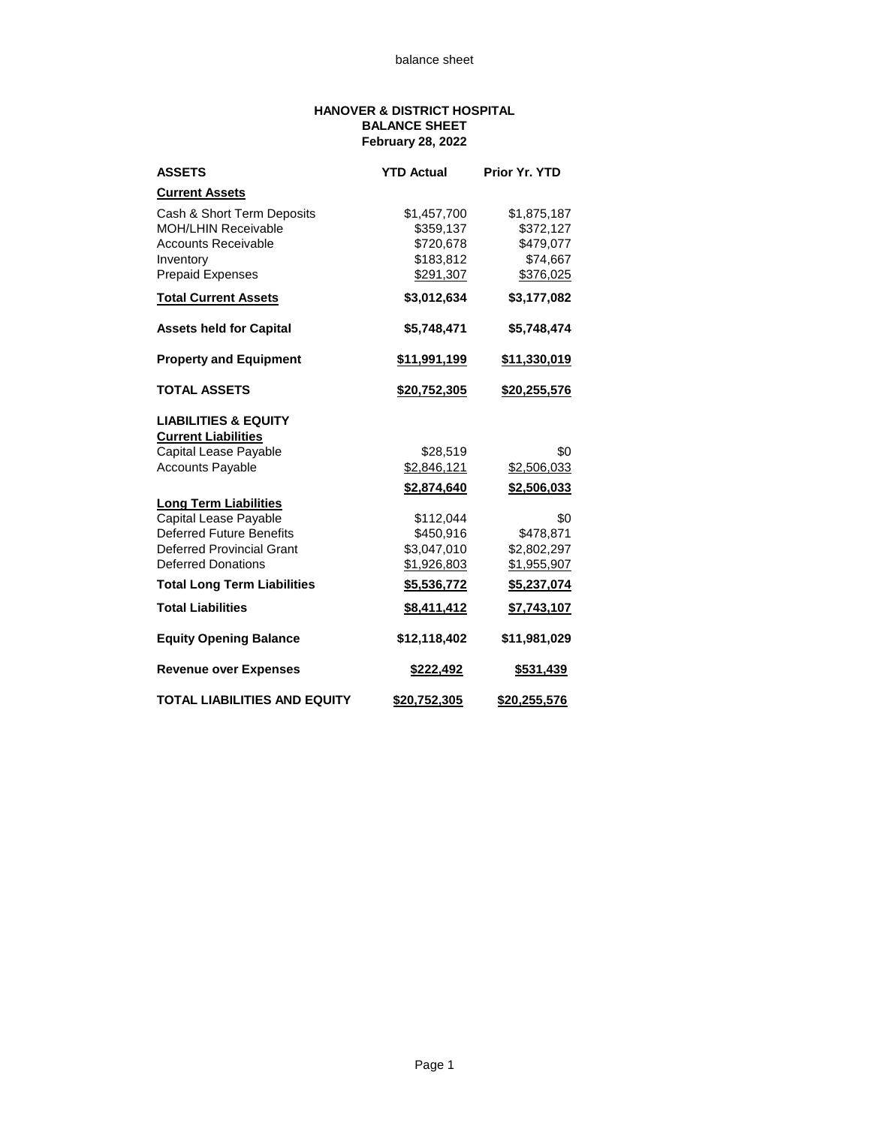## **HANOVER & DISTRICT HOSPITAL BALANCE SHEET February 28, 2022**

| <b>ASSETS</b>                       | <b>YTD Actual</b>   | Prior Yr. YTD    |
|-------------------------------------|---------------------|------------------|
| <b>Current Assets</b>               |                     |                  |
| Cash & Short Term Deposits          | \$1,457,700         | \$1,875,187      |
| <b>MOH/LHIN Receivable</b>          | \$359,137           | \$372,127        |
| <b>Accounts Receivable</b>          | \$720,678           | \$479,077        |
| Inventory                           | \$183,812           | \$74,667         |
| <b>Prepaid Expenses</b>             | \$291,307           | \$376,025        |
| <b>Total Current Assets</b>         | \$3,012,634         | \$3,177,082      |
| <b>Assets held for Capital</b>      | \$5,748,471         | \$5,748,474      |
| <b>Property and Equipment</b>       | \$11,991,199        | \$11,330,019     |
| <b>TOTAL ASSETS</b>                 | <u>\$20,752,305</u> | \$20,255,576     |
| <b>LIABILITIES &amp; EQUITY</b>     |                     |                  |
| <b>Current Liabilities</b>          |                     |                  |
| Capital Lease Payable               | \$28,519            | \$0              |
| <b>Accounts Payable</b>             | \$2,846,121         | \$2,506,033      |
|                                     | \$2,874,640         | \$2,506,033      |
| <b>Long Term Liabilities</b>        |                     |                  |
| Capital Lease Payable               | \$112,044           | \$0              |
| <b>Deferred Future Benefits</b>     | \$450,916           | \$478,871        |
| Deferred Provincial Grant           | \$3,047,010         | \$2,802,297      |
| <b>Deferred Donations</b>           | \$1,926,803         | \$1,955,907      |
| <b>Total Long Term Liabilities</b>  | \$5,536,772         | \$5,237,074      |
| <b>Total Liabilities</b>            | \$8,411,412         | \$7,743,107      |
| <b>Equity Opening Balance</b>       | \$12,118,402        | \$11,981,029     |
| <b>Revenue over Expenses</b>        | \$222,492           | <u>\$531,439</u> |
| <b>TOTAL LIABILITIES AND EQUITY</b> | \$20.752.305        | \$20,255,576     |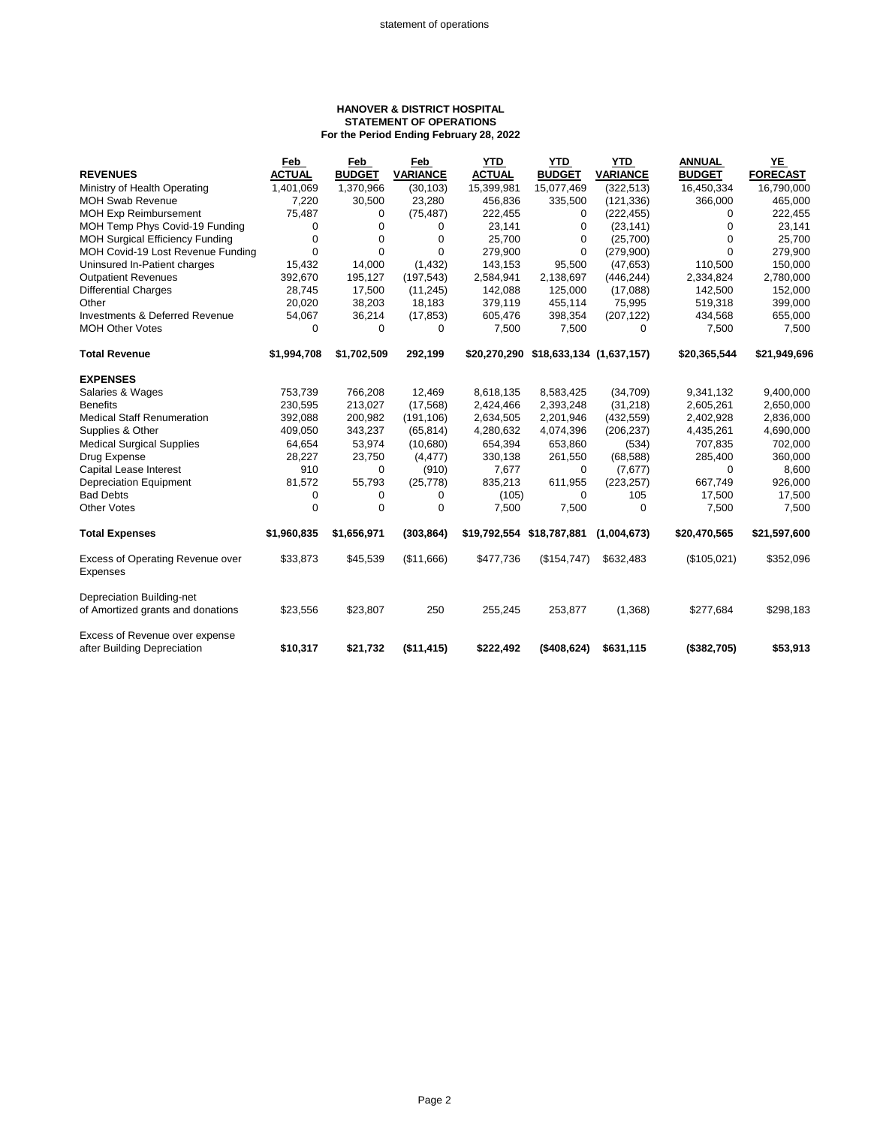## **HANOVER & DISTRICT HOSPITAL STATEMENT OF OPERATIONS For the Period Ending February 28, 2022**

| <b>FORECAST</b><br>16,790,000<br>465,000<br>222,455<br>23,141<br>25,700<br>279,900 |
|------------------------------------------------------------------------------------|
|                                                                                    |
|                                                                                    |
|                                                                                    |
|                                                                                    |
|                                                                                    |
|                                                                                    |
|                                                                                    |
| 150,000                                                                            |
| 2,780,000                                                                          |
| 152,000                                                                            |
| 399,000                                                                            |
| 655,000                                                                            |
| 7,500                                                                              |
| \$21,949,696                                                                       |
|                                                                                    |
| 9,400,000                                                                          |
| 2,650,000                                                                          |
| 2,836,000                                                                          |
| 4,690,000                                                                          |
| 702,000                                                                            |
| 360,000                                                                            |
| 8,600                                                                              |
| 926,000                                                                            |
| 17,500                                                                             |
| 7,500                                                                              |
| \$21,597,600                                                                       |
| \$352,096                                                                          |
|                                                                                    |
|                                                                                    |
| \$298,183                                                                          |
|                                                                                    |
|                                                                                    |